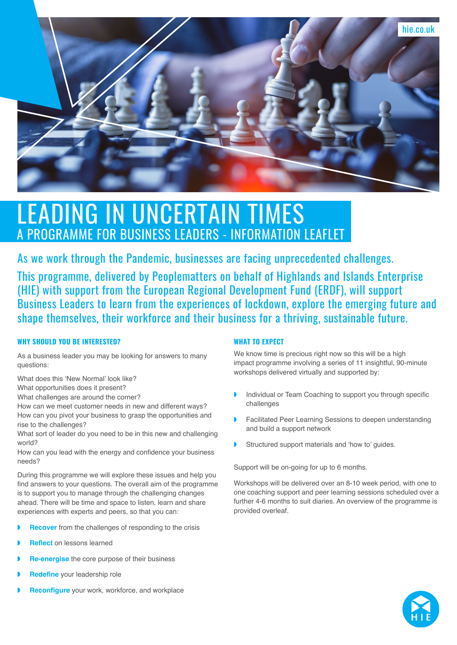

# LEADING IN UNCERTAIN TIMES A PROGRAMME FOR BUSINESS LEADERS - INFORMATION LEAFLET

As we work through the Pandemic, businesses are facing unprecedented challenges.

This programme, delivered by Peoplematters on behalf of Highlands and Islands Enterprise (HIE) with support from the European Regional Development Fund (ERDF), will support Business Leaders to learn from the experiences of lockdown, explore the emerging future and shape themselves, their workforce and their business for a thriving, sustainable future.

# **WHY SHOULD YOU BE INTERESTED?**

As a business leader you may be looking for answers to many questions:

What does this 'New Normal' look like?

What opportunities does it present?

What challenges are around the corner?

How can we meet customer needs in new and different ways? How can you pivot your business to grasp the opportunities and rise to the challenges?

What sort of leader do you need to be in this new and challenging world?

How can you lead with the energy and confidence your business needs?

During this programme we will explore these issues and help you find answers to your questions. The overall aim of the programme is to support you to manage through the challenging changes ahead. There will be time and space to listen, learn and share experiences with experts and peers, so that you can:

- **Recover** from the challenges of responding to the crisis
- ◗ **Reflect** on lessons learned
- **Re-energise** the core purpose of their business
- ◗ **Redefine** your leadership role
- ◗ **Reconfigure** your work, workforce, and workplace

# **WHAT TO EXPECT**

We know time is precious right now so this will be a high impact programme involving a series of 11 insightful, 90-minute workshops delivered virtually and supported by:

- ◗ Individual or Team Coaching to support you through specific challenges
- ◗ Facilitated Peer Learning Sessions to deepen understanding and build a support network
- Structured support materials and 'how to' guides.

Support will be on-going for up to 6 months.

Workshops will be delivered over an 8-10 week period, with one to one coaching support and peer learning sessions scheduled over a further 4-6 months to suit diaries. An overview of the programme is provided overleaf.